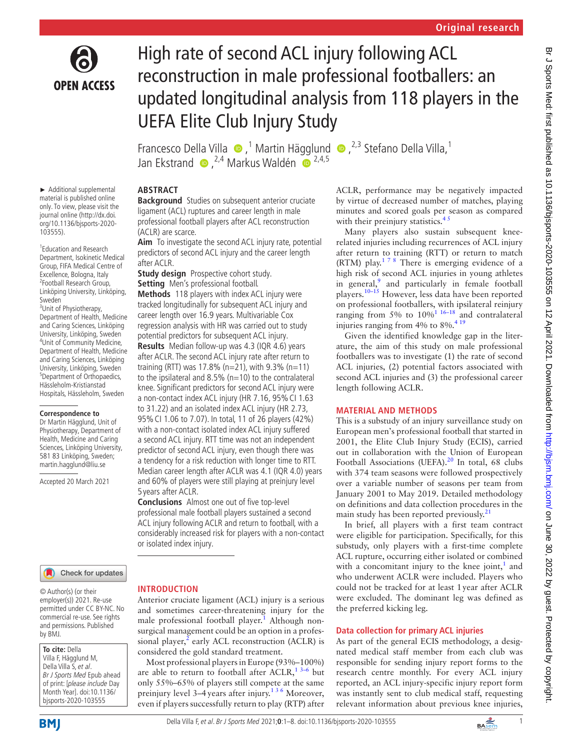

# High rate of second ACL injury following ACL reconstruction in male professional footballers: an updated longitudinal analysis from 118 players in the UEFA Elite Club Injury Study

FrancescoDella Villa  $\bullet$ ,<sup>1</sup> Martin Hägglund  $\bullet$ ,<sup>2,3</sup> Stefano Della Villa,<sup>1</sup> Jan Ekstrand  $\bullet$ , <sup>2,4</sup> Markus Waldén  $\bullet$ <sup>2,4,5</sup>

## **ABSTRACT**

**Background** Studies on subsequent anterior cruciate ligament (ACL) ruptures and career length in male professional football players after ACL reconstruction (ACLR) are scarce.

**Aim** To investigate the second ACL injury rate, potential predictors of second ACL injury and the career length after ACLR.

**Study design** Prospective cohort study. **Setting** Men's professional football.

**Methods** 118 players with index ACL injury were tracked longitudinally for subsequent ACL injury and career length over 16.9 years. Multivariable Cox regression analysis with HR was carried out to study potential predictors for subsequent ACL injury. **Results** Median follow-up was 4.3 (IQR 4.6) years after ACLR. The second ACL injury rate after return to training (RTT) was 17.8% (n=21), with  $9.3\%$  (n=11) to the ipsilateral and  $8.5\%$  (n=10) to the contralateral knee. Significant predictors for second ACL injury were a non-contact index ACL injury (HR 7.16, 95%CI 1.63 to 31.22) and an isolated index ACL injury (HR 2.73, 95%CI 1.06 to 7.07). In total, 11 of 26 players (42%) with a non-contact isolated index ACL injury suffered a second ACL injury. RTT time was not an independent predictor of second ACL injury, even though there was a tendency for a risk reduction with longer time to RTT. Median career length after ACLR was 4.1 (IQR 4.0) years and 60% of players were still playing at preinjury level 5 years after ACLR.

**Conclusions** Almost one out of five top-level professional male football players sustained a second ACL injury following ACLR and return to football, with a considerably increased risk for players with a non-contact or isolated index injury.

► Additional supplemental material is published online only. To view, please visit the journal online (http://dx.doi. org/10.1136/bjsports-2020- 103555).

1 Education and Research Department, Isokinetic Medical Group, FIFA Medical Centre of Excellence, Bologna, Italy 2 Football Research Group, Linköping University, Linköping, Sweden

<sup>3</sup>Unit of Physiotherapy, Department of Health, Medicine and Caring Sciences, Linköping University, Linköping, Sweden 4 Unit of Community Medicine, Department of Health, Medicine and Caring Sciences, Linköping University, Linköping, Sweden 5 Department of Orthopaedics, Hässleholm-Kristianstad Hospitals, Hässleholm, Sweden

#### **Correspondence to**

Dr Martin Hägglund, Unit of Physiotherapy, Department of Health, Medicine and Caring Sciences, Linköping University, 581 83 Linköping, Sweden; martin.hagglund@liu.se

Accepted 20 March 2021

#### Check for updates

© Author(s) (or their employer(s)) 2021. Re-use permitted under CC BY-NC. No commercial re-use. See rights and permissions. Published by BMJ.

**To cite:** Della Villa F, Hägglund M, Della Villa S, et al. Br J Sports Med Epub ahead of print: [please include Day Month Year]. doi:10.1136/ bjsports-2020-103555

## **BMI**

## **INTRODUCTION**

Anterior cruciate ligament (ACL) injury is a serious and sometimes career-threatening injury for the male professional football player.<sup>[1](#page-6-0)</sup> Although nonsurgical management could be an option in a professional player, $^2$  early ACL reconstruction (ACLR) is considered the gold standard treatment.

Most professional players in Europe (93%–100%) are able to return to football after  $\text{ACLR}$ ,<sup>13-6</sup> but only 55%–65% of players still compete at the same preinjury level 3–4 years after injury.<sup>136</sup> Moreover, even if players successfully return to play (RTP) after ACLR, performance may be negatively impacted by virtue of decreased number of matches, playing minutes and scored goals per season as compared with their preinjury statistics. $4<sup>3</sup>$ 

Many players also sustain subsequent kneerelated injuries including recurrences of ACL injury after return to training (RTT) or return to match (RTM) play.<sup>178</sup> There is emerging evidence of a high risk of second ACL injuries in young athletes in general,<sup>[9](#page-6-3)</sup> and particularly in female football players.<sup>10–15</sup> However, less data have been reported on professional footballers, with ipsilateral reinjury ranging from 5% to  $10\%$ <sup>1 16–18</sup> and contralateral injuries ranging from 4% to 8%.<sup>419</sup>

Given the identified knowledge gap in the literature, the aim of this study on male professional footballers was to investigate (1) the rate of second ACL injuries, (2) potential factors associated with second ACL injuries and (3) the professional career length following ACLR.

## **MATERIAL AND METHODS**

This is a substudy of an injury surveillance study on European men's professional football that started in 2001, the Elite Club Injury Study (ECIS), carried out in collaboration with the Union of European Football Associations (UEFA).<sup>20</sup> In total, 68 clubs with 374 team seasons were followed prospectively over a variable number of seasons per team from January 2001 to May 2019. Detailed methodology on definitions and data collection procedures in the main study has been reported previously.<sup>[21](#page-6-6)</sup>

In brief, all players with a first team contract were eligible for participation. Specifically, for this substudy, only players with a first-time complete ACL rupture, occurring either isolated or combined with a concomitant injury to the knee joint, $<sup>1</sup>$  $<sup>1</sup>$  $<sup>1</sup>$  and</sup> who underwent ACLR were included. Players who could not be tracked for at least 1year after ACLR were excluded. The dominant leg was defined as the preferred kicking leg.

## **Data collection for primary ACL injuries**

As part of the general ECIS methodology, a designated medical staff member from each club was responsible for sending injury report forms to the research centre monthly. For every ACL injury reported, an ACL injury-specific injury report form was instantly sent to club medical staff, requesting relevant information about previous knee injuries,

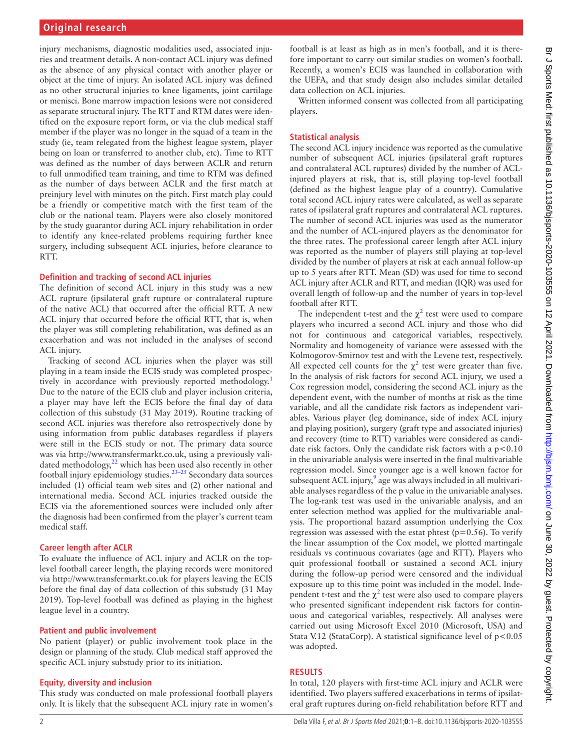injury mechanisms, diagnostic modalities used, associated injuries and treatment details. A non-contact ACL injury was defined as the absence of any physical contact with another player or object at the time of injury. An isolated ACL injury was defined as no other structural injuries to knee ligaments, joint cartilage or menisci. Bone marrow impaction lesions were not considered as separate structural injury. The RTT and RTM dates were identified on the exposure report form, or via the club medical staff member if the player was no longer in the squad of a team in the study (ie, team relegated from the highest league system, player being on loan or transferred to another club, etc). Time to RTT was defined as the number of days between ACLR and return to full unmodified team training, and time to RTM was defined as the number of days between ACLR and the first match at preinjury level with minutes on the pitch. First match play could be a friendly or competitive match with the first team of the club or the national team. Players were also closely monitored by the study guarantor during ACL injury rehabilitation in order to identify any knee-related problems requiring further knee surgery, including subsequent ACL injuries, before clearance to RTT.

## **Definition and tracking of second ACL injuries**

The definition of second ACL injury in this study was a new ACL rupture (ipsilateral graft rupture or contralateral rupture of the native ACL) that occurred after the official RTT. A new ACL injury that occurred before the official RTT, that is, when the player was still completing rehabilitation, was defined as an exacerbation and was not included in the analyses of second ACL injury.

Tracking of second ACL injuries when the player was still playing in a team inside the ECIS study was completed prospectively in accordance with previously reported methodology.<sup>1</sup> Due to the nature of the ECIS club and player inclusion criteria, a player may have left the ECIS before the final day of data collection of this substudy (31 May 2019). Routine tracking of second ACL injuries was therefore also retrospectively done by using information from public databases regardless if players were still in the ECIS study or not. The primary data source was via [http://www.transfermarkt.co.uk,](http://www.transfermarkt.co.uk) using a previously validated methodology,<sup>22</sup> which has been used also recently in other football injury epidemiology studies.<sup>23–25</sup> Secondary data sources included (1) official team web sites and (2) other national and international media. Second ACL injuries tracked outside the ECIS via the aforementioned sources were included only after the diagnosis had been confirmed from the player's current team medical staff.

## **Career length after ACLR**

To evaluate the influence of ACL injury and ACLR on the toplevel football career length, the playing records were monitored via <http://www.transfermarkt.co.uk>for players leaving the ECIS before the final day of data collection of this substudy (31 May 2019). Top-level football was defined as playing in the highest league level in a country.

## **Patient and public involvement**

No patient (player) or public involvement took place in the design or planning of the study. Club medical staff approved the specific ACL injury substudy prior to its initiation.

## **Equity, diversity and inclusion**

This study was conducted on male professional football players only. It is likely that the subsequent ACL injury rate in women's

football is at least as high as in men's football, and it is therefore important to carry out similar studies on women's football. Recently, a women's ECIS was launched in collaboration with the UEFA, and that study design also includes similar detailed data collection on ACL injuries.

Written informed consent was collected from all participating players.

## **Statistical analysis**

The second ACL injury incidence was reported as the cumulative number of subsequent ACL injuries (ipsilateral graft ruptures and contralateral ACL ruptures) divided by the number of ACLinjured players at risk, that is, still playing top-level football (defined as the highest league play of a country). Cumulative total second ACL injury rates were calculated, as well as separate rates of ipsilateral graft ruptures and contralateral ACL ruptures. The number of second ACL injuries was used as the numerator and the number of ACL-injured players as the denominator for the three rates. The professional career length after ACL injury was reported as the number of players still playing at top-level divided by the number of players at risk at each annual follow-up up to 5 years after RTT. Mean (SD) was used for time to second ACL injury after ACLR and RTT, and median (IQR) was used for overall length of follow-up and the number of years in top-level football after RTT.

The independent t-test and the  $\chi^2$  test were used to compare players who incurred a second ACL injury and those who did not for continuous and categorical variables, respectively. Normality and homogeneity of variance were assessed with the Kolmogorov-Smirnov test and with the Levene test, respectively. All expected cell counts for the  $\chi^2$  test were greater than five. In the analysis of risk factors for second ACL injury, we used a Cox regression model, considering the second ACL injury as the dependent event, with the number of months at risk as the time variable, and all the candidate risk factors as independent variables. Various player (leg dominance, side of index ACL injury and playing position), surgery (graft type and associated injuries) and recovery (time to RTT) variables were considered as candidate risk factors. Only the candidate risk factors with a  $p < 0.10$ in the univariable analysis were inserted in the final multivariable regression model. Since younger age is a well known factor for subsequent ACL injury,<sup>[9](#page-6-3)</sup> age was always included in all multivariable analyses regardless of the p value in the univariable analyses. The log-rank test was used in the univariable analysis, and an enter selection method was applied for the multivariable analysis. The proportional hazard assumption underlying the Cox regression was assessed with the estat phtest ( $p=0.56$ ). To verify the linear assumption of the Cox model, we plotted martingale residuals vs continuous covariates (age and RTT). Players who quit professional football or sustained a second ACL injury during the follow-up period were censored and the individual exposure up to this time point was included in the model. Independent t-test and the  $\chi^2$  test were also used to compare players who presented significant independent risk factors for continuous and categorical variables, respectively. All analyses were carried out using Microsoft Excel 2010 (Microsoft, USA) and Stata V.12 (StataCorp). A statistical significance level of  $p < 0.05$ was adopted.

## **RESULTS**

In total, 120 players with first-time ACL injury and ACLR were identified. Two players suffered exacerbations in terms of ipsilateral graft ruptures during on-field rehabilitation before RTT and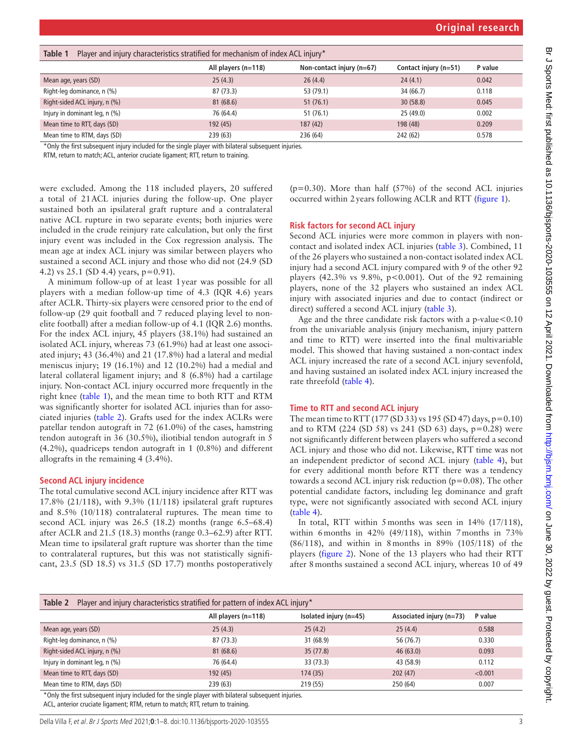<span id="page-2-0"></span>

| Table 1<br>Player and injury characteristics stratified for mechanism of index ACL injury* |                       |                             |                       |         |
|--------------------------------------------------------------------------------------------|-----------------------|-----------------------------|-----------------------|---------|
|                                                                                            | All players $(n=118)$ | Non-contact injury $(n=67)$ | Contact injury (n=51) | P value |
| Mean age, years (SD)                                                                       | 25(4.3)               | 26(4.4)                     | 24(4.1)               | 0.042   |
| Right-leg dominance, n (%)                                                                 | 87 (73.3)             | 53 (79.1)                   | 34 (66.7)             | 0.118   |
| Right-sided ACL injury, n (%)                                                              | 81(68.6)              | 51(76.1)                    | 30(58.8)              | 0.045   |
| Injury in dominant leg, n (%)                                                              | 76 (64.4)             | 51(76.1)                    | 25(49.0)              | 0.002   |
| Mean time to RTT, days (SD)                                                                | 192 (45)              | 187(42)                     | 198 (48)              | 0.209   |
| Mean time to RTM, days (SD)                                                                | 239 (63)              | 236 (64)                    | 242 (62)              | 0.578   |

\*Only the first subsequent injury included for the single player with bilateral subsequent injuries.

RTM, return to match; ACL, anterior cruciate ligament; RTT, return to training.

were excluded. Among the 118 included players, 20 suffered a total of 21ACL injuries during the follow-up. One player sustained both an ipsilateral graft rupture and a contralateral native ACL rupture in two separate events; both injuries were included in the crude reinjury rate calculation, but only the first injury event was included in the Cox regression analysis. The mean age at index ACL injury was similar between players who sustained a second ACL injury and those who did not (24.9 (SD 4.2) vs 25.1 (SD 4.4) years, p=0.91).

A minimum follow-up of at least 1year was possible for all players with a median follow-up time of 4.3 (IQR 4.6) years after ACLR. Thirty-six players were censored prior to the end of follow-up (29 quit football and 7 reduced playing level to nonelite football) after a median follow-up of 4.1 (IQR 2.6) months. For the index ACL injury, 45 players (38.1%) had sustained an isolated ACL injury, whereas 73 (61.9%) had at least one associated injury; 43 (36.4%) and 21 (17.8%) had a lateral and medial meniscus injury; 19 (16.1%) and 12 (10.2%) had a medial and lateral collateral ligament injury; and 8 (6.8%) had a cartilage injury. Non-contact ACL injury occurred more frequently in the right knee [\(table](#page-2-0) 1), and the mean time to both RTT and RTM was significantly shorter for isolated ACL injuries than for associated injuries [\(table](#page-2-1) 2). Grafts used for the index ACLRs were patellar tendon autograft in 72 (61.0%) of the cases, hamstring tendon autograft in 36 (30.5%), iliotibial tendon autograft in 5 (4.2%), quadriceps tendon autograft in 1 (0.8%) and different allografts in the remaining 4 (3.4%).

#### **Second ACL injury incidence**

The total cumulative second ACL injury incidence after RTT was 17.8% (21/118), with 9.3% (11/118) ipsilateral graft ruptures and 8.5% (10/118) contralateral ruptures. The mean time to second ACL injury was 26.5 (18.2) months (range 6.5–68.4) after ACLR and 21.5 (18.3) months (range 0.3–62.9) after RTT. Mean time to ipsilateral graft rupture was shorter than the time to contralateral ruptures, but this was not statistically significant, 23.5 (SD 18.5) vs 31.5 (SD 17.7) months postoperatively

( $p=0.30$ ). More than half ( $57\%$ ) of the second ACL injuries occurred within 2years following ACLR and RTT ([figure](#page-3-0) 1).

#### **Risk factors for second ACL injury**

Second ACL injuries were more common in players with noncontact and isolated index ACL injuries ([table](#page-3-1) 3). Combined, 11 of the 26 players who sustained a non-contact isolated index ACL injury had a second ACL injury compared with 9 of the other 92 players (42.3% vs  $9.8\%$ , p<0.001). Out of the 92 remaining players, none of the 32 players who sustained an index ACL injury with associated injuries and due to contact (indirect or direct) suffered a second ACL injury ([table](#page-3-1) 3).

Age and the three candidate risk factors with a p-value<0.10 from the univariable analysis (injury mechanism, injury pattern and time to RTT) were inserted into the final multivariable model. This showed that having sustained a non-contact index ACL injury increased the rate of a second ACL injury sevenfold, and having sustained an isolated index ACL injury increased the rate threefold ([table](#page-4-0) 4).

#### **Time to RTT and second ACL injury**

The mean time to RTT (177 (SD 33) vs 195 (SD 47) days,  $p=0.10$ ) and to RTM (224 (SD 58) vs 241 (SD 63) days, p=0.28) were not significantly different between players who suffered a second ACL injury and those who did not. Likewise, RTT time was not an independent predictor of second ACL injury ([table](#page-4-0) 4), but for every additional month before RTT there was a tendency towards a second ACL injury risk reduction ( $p=0.08$ ). The other potential candidate factors, including leg dominance and graft type, were not significantly associated with second ACL injury ([table](#page-4-0) 4).

In total, RTT within 5months was seen in 14% (17/118), within 6months in 42% (49/118), within 7months in 73% (86/118), and within in 8months in 89% (105/118) of the players [\(figure](#page-4-1) 2). None of the 13 players who had their RTT after 8months sustained a second ACL injury, whereas 10 of 49

<span id="page-2-1"></span>

| Table 2<br>Player and injury characteristics stratified for pattern of index ACL injury* |                       |                          |                          |         |
|------------------------------------------------------------------------------------------|-----------------------|--------------------------|--------------------------|---------|
|                                                                                          | All players $(n=118)$ | Isolated injury $(n=45)$ | Associated injury (n=73) | P value |
| Mean age, years (SD)                                                                     | 25(4.3)               | 25(4.2)                  | 25(4.4)                  | 0.588   |
| Right-leg dominance, n (%)                                                               | 87 (73.3)             | 31(68.9)                 | 56 (76.7)                | 0.330   |
| Right-sided ACL injury, n (%)                                                            | 81(68.6)              | 35(77.8)                 | 46(63.0)                 | 0.093   |
| Injury in dominant leg, n (%)                                                            | 76 (64.4)             | 33 (73.3)                | 43 (58.9)                | 0.112   |
| Mean time to RTT, days (SD)                                                              | 192 (45)              | 174 (35)                 | 202(47)                  | < 0.001 |
| Mean time to RTM, days (SD)<br>.                                                         | 239 (63)              | 219 (55)                 | 250 (64)                 | 0.007   |

\*Only the first subsequent injury included for the single player with bilateral subsequent injuries.

ACL, anterior cruciate ligament; RTM, return to match; RTT, return to training.

Della Villa F, et al. Br J Sports Med 2021;**0**:1–8. doi:10.1136/bjsports-2020-103555 3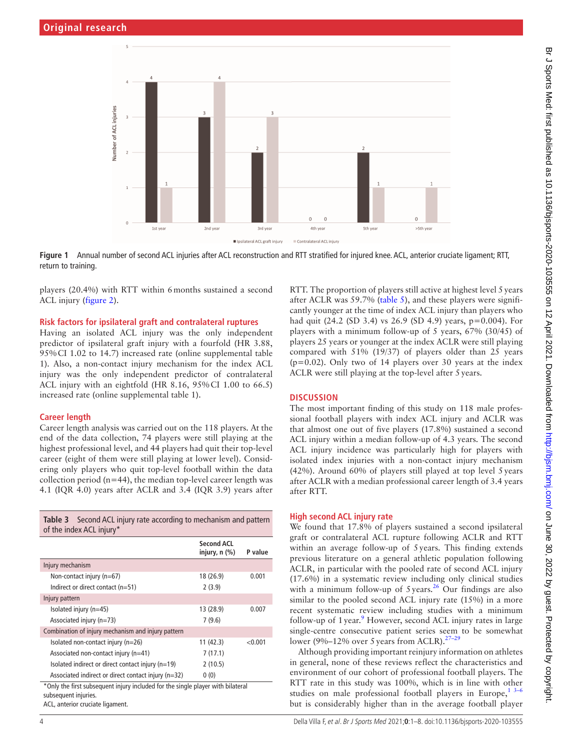

**Figure 1** Annual number of second ACL injuries after ACL reconstruction and RTT stratified for injured knee. ACL, anterior cruciate ligament; RTT, return to training.

players (20.4%) with RTT within 6months sustained a second ACL injury [\(figure](#page-4-1) 2).

#### **Risk factors for ipsilateral graft and contralateral ruptures**

Having an isolated ACL injury was the only independent predictor of ipsilateral graft injury with a fourfold (HR 3.88, 95%CI 1.02 to 14.7) increased rate ([online supplemental table](https://dx.doi.org/10.1136/bjsports-2020-103555)  [1](https://dx.doi.org/10.1136/bjsports-2020-103555)). Also, a non-contact injury mechanism for the index ACL injury was the only independent predictor of contralateral ACL injury with an eightfold (HR 8.16, 95%CI 1.00 to 66.5) increased rate ([online supplemental table 1](https://dx.doi.org/10.1136/bjsports-2020-103555)).

#### **Career length**

Career length analysis was carried out on the 118 players. At the end of the data collection, 74 players were still playing at the highest professional level, and 44 players had quit their top-level career (eight of them were still playing at lower level). Considering only players who quit top-level football within the data collection period ( $n=44$ ), the median top-level career length was 4.1 (IQR 4.0) years after ACLR and 3.4 (IQR 3.9) years after

<span id="page-3-1"></span>

| <b>Table 3</b> Second ACL injury rate according to mechanism and pattern<br>of the index ACL injury* |                                      |         |
|------------------------------------------------------------------------------------------------------|--------------------------------------|---------|
|                                                                                                      | <b>Second ACL</b><br>injury, $n$ $%$ | P value |
| Injury mechanism                                                                                     |                                      |         |
| Non-contact injury (n=67)                                                                            | 18 (26.9)                            | 0.001   |
| Indirect or direct contact $(n=51)$                                                                  | 2(3.9)                               |         |
| Injury pattern                                                                                       |                                      |         |
| Isolated injury (n=45)                                                                               | 13 (28.9)                            | 0.007   |
| Associated injury (n=73)                                                                             | 7(9.6)                               |         |
| Combination of injury mechanism and injury pattern                                                   |                                      |         |
| Isolated non-contact injury (n=26)                                                                   | 11 (42.3)                            | < 0.001 |
| Associated non-contact injury (n=41)                                                                 | 7(17.1)                              |         |
| Isolated indirect or direct contact injury (n=19)                                                    | 2(10.5)                              |         |
| Associated indirect or direct contact injury (n=32)                                                  | 0(0)                                 |         |
| *Only the first subsequent injury included for the single player with bilateral                      |                                      |         |

\*Only the first subsequent injury included for the single player with bilateral subsequent injuries.

ACL, anterior cruciate ligament.

<span id="page-3-0"></span>RTT. The proportion of players still active at highest level 5 years after ACLR was 59.7% [\(table](#page-5-0) 5), and these players were significantly younger at the time of index ACL injury than players who had quit (24.2 (SD 3.4) vs 26.9 (SD 4.9) years, p=0.004). For players with a minimum follow-up of 5 years, 67% (30/45) of players 25 years or younger at the index ACLR were still playing compared with 51% (19/37) of players older than 25 years (p=0.02). Only two of 14 players over 30 years at the index ACLR were still playing at the top-level after 5years.

#### **DISCUSSION**

The most important finding of this study on 118 male professional football players with index ACL injury and ACLR was that almost one out of five players (17.8%) sustained a second ACL injury within a median follow-up of 4.3 years. The second ACL injury incidence was particularly high for players with isolated index injuries with a non-contact injury mechanism (42%). Around 60% of players still played at top level 5years after ACLR with a median professional career length of 3.4 years after RTT.

#### **High second ACL injury rate**

We found that 17.8% of players sustained a second ipsilateral graft or contralateral ACL rupture following ACLR and RTT within an average follow-up of 5years. This finding extends previous literature on a general athletic population following ACLR, in particular with the pooled rate of second ACL injury (17.6%) in a systematic review including only clinical studies with a minimum follow-up of  $5 \, \text{years}$ .<sup>26</sup> Our findings are also similar to the pooled second ACL injury rate (15%) in a more recent systematic review including studies with a minimum follow-up of 1 year.<sup>[9](#page-6-3)</sup> However, second ACL injury rates in large single-centre consecutive patient series seem to be somewhat lower (9%–12% over 5 years from ACLR).<sup>27–2</sup>

Although providing important reinjury information on athletes in general, none of these reviews reflect the characteristics and environment of our cohort of professional football players. The RTT rate in this study was 100%, which is in line with other studies on male professional football players in Europe,  $1^{3-6}$ but is considerably higher than in the average football player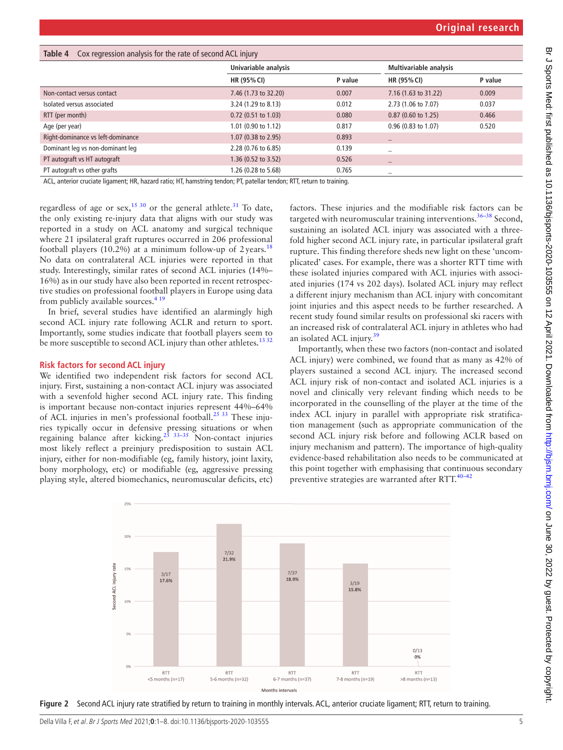<span id="page-4-0"></span>

| Table 4<br>Cox regression analysis for the rate of second ACL injury |                       |         |                               |         |
|----------------------------------------------------------------------|-----------------------|---------|-------------------------------|---------|
|                                                                      | Univariable analysis  |         | <b>Multivariable analysis</b> |         |
|                                                                      | HR (95% CI)           | P value | HR (95% CI)                   | P value |
| Non-contact versus contact                                           | 7.46 (1.73 to 32.20)  | 0.007   | 7.16 (1.63 to 31.22)          | 0.009   |
| Isolated versus associated                                           | 3.24 (1.29 to 8.13)   | 0.012   | 2.73 (1.06 to 7.07)           | 0.037   |
| RTT (per month)                                                      | $0.72$ (0.51 to 1.03) | 0.080   | $0.87$ (0.60 to 1.25)         | 0.466   |
| Age (per year)                                                       | 1.01 (0.90 to 1.12)   | 0.817   | 0.96 (0.83 to 1.07)           | 0.520   |
| Right-dominance vs left-dominance                                    | 1.07 (0.38 to 2.95)   | 0.893   | -                             |         |
| Dominant leg vs non-dominant leg                                     | 2.28 (0.76 to 6.85)   | 0.139   | -                             |         |
| PT autograft vs HT autograft                                         | 1.36 (0.52 to 3.52)   | 0.526   | -                             |         |
| PT autograft vs other grafts                                         | 1.26 (0.28 to 5.68)   | 0.765   |                               |         |

ACL, anterior cruciate ligament; HR, hazard ratio; HT, hamstring tendon; PT, patellar tendon; RTT, return to training.

regardless of age or sex,<sup>15 30</sup> or the general athlete.<sup>31</sup> To date, the only existing re-injury data that aligns with our study was reported in a study on ACL anatomy and surgical technique where 21 ipsilateral graft ruptures occurred in 206 professional football players (10.2%) at a minimum follow-up of 2years.<sup>[18](#page-6-13)</sup> No data on contralateral ACL injuries were reported in that study. Interestingly, similar rates of second ACL injuries (14%– 16%) as in our study have also been reported in recent retrospective studies on professional football players in Europe using data from publicly available sources. $41$ <sup>1</sup>

In brief, several studies have identified an alarmingly high second ACL injury rate following ACLR and return to sport. Importantly, some studies indicate that football players seem to be more susceptible to second ACL injury than other athletes.<sup>1332</sup>

#### **Risk factors for second ACL injury**

We identified two independent risk factors for second ACL injury. First, sustaining a non-contact ACL injury was associated with a sevenfold higher second ACL injury rate. This finding is important because non-contact injuries represent 44%–64% of ACL injuries in men's professional football.<sup>[25 33](#page-6-15)</sup> These injuries typically occur in defensive pressing situations or when regaining balance after kicking.<sup>25 33–35</sup> Non-contact injuries most likely reflect a preinjury predisposition to sustain ACL injury, either for non-modifiable (eg, family history, joint laxity, bony morphology, etc) or modifiable (eg, aggressive pressing playing style, altered biomechanics, neuromuscular deficits, etc)

factors. These injuries and the modifiable risk factors can be targeted with neuromuscular training interventions.<sup>36–38</sup> Second, sustaining an isolated ACL injury was associated with a threefold higher second ACL injury rate, in particular ipsilateral graft rupture. This finding therefore sheds new light on these 'uncomplicated' cases. For example, there was a shorter RTT time with these isolated injuries compared with ACL injuries with associated injuries (174 vs 202 days). Isolated ACL injury may reflect a different injury mechanism than ACL injury with concomitant joint injuries and this aspect needs to be further researched. A recent study found similar results on professional ski racers with an increased risk of contralateral ACL injury in athletes who had an isolated ACL injury.<sup>[39](#page-7-1)</sup>

Importantly, when these two factors (non-contact and isolated ACL injury) were combined, we found that as many as 42% of players sustained a second ACL injury. The increased second ACL injury risk of non-contact and isolated ACL injuries is a novel and clinically very relevant finding which needs to be incorporated in the counselling of the player at the time of the index ACL injury in parallel with appropriate risk stratification management (such as appropriate communication of the second ACL injury risk before and following ACLR based on injury mechanism and pattern). The importance of high-quality evidence-based rehabilitation also needs to be communicated at this point together with emphasising that continuous secondary preventive strategies are warranted after RTT.<sup>40-42</sup>



<span id="page-4-1"></span>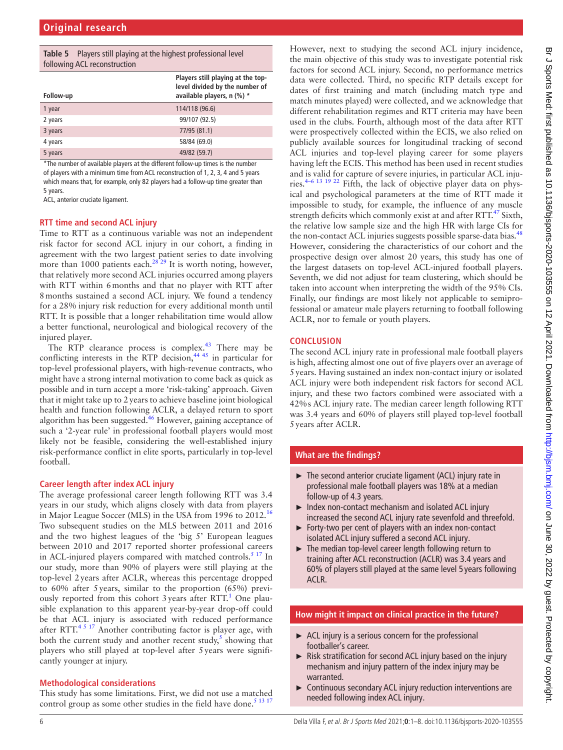<span id="page-5-0"></span>

| <b>Table 5</b> Players still playing at the highest professional level<br>following ACL reconstruction |                                                                                                   |  |
|--------------------------------------------------------------------------------------------------------|---------------------------------------------------------------------------------------------------|--|
| Follow-up                                                                                              | Players still playing at the top-<br>level divided by the number of<br>available players, n (%) * |  |
| 1 year                                                                                                 | 114/118 (96.6)                                                                                    |  |
| 2 years                                                                                                | 99/107 (92.5)                                                                                     |  |
| 3 years                                                                                                | 77/95 (81.1)                                                                                      |  |
| 4 years                                                                                                | 58/84 (69.0)                                                                                      |  |
| 5 years                                                                                                | 49/82 (59.7)                                                                                      |  |

\*The number of available players at the different follow-up times is the number of players with a minimum time from ACL reconstruction of 1, 2, 3, 4 and 5 years which means that, for example, only 82 players had a follow-up time greater than 5 years.

ACL, anterior cruciate ligament.

#### **RTT time and second ACL injury**

Time to RTT as a continuous variable was not an independent risk factor for second ACL injury in our cohort, a finding in agreement with the two largest patient series to date involving more than 1000 patients each.<sup>28</sup><sup>29</sup> It is worth noting, however, that relatively more second ACL injuries occurred among players with RTT within 6months and that no player with RTT after 8months sustained a second ACL injury. We found a tendency for a 28% injury risk reduction for every additional month until RTT. It is possible that a longer rehabilitation time would allow a better functional, neurological and biological recovery of the injured player.

The RTP clearance process is complex.<sup>43</sup> There may be conflicting interests in the RTP decision, $44.45$  in particular for top-level professional players, with high-revenue contracts, who might have a strong internal motivation to come back as quick as possible and in turn accept a more 'risk-taking' approach. Given that it might take up to 2years to achieve baseline joint biological health and function following ACLR, a delayed return to sport algorithm has been suggested. $46$  However, gaining acceptance of such a '2-year rule' in professional football players would most likely not be feasible, considering the well-established injury risk-performance conflict in elite sports, particularly in top-level football.

#### **Career length after index ACL injury**

The average professional career length following RTT was 3.4 years in our study, which aligns closely with data from players in Major League Soccer (MLS) in the USA from 1996 to 2012.<sup>[16](#page-6-17)</sup> Two subsequent studies on the MLS between 2011 and 2016 and the two highest leagues of the 'big 5' European leagues between 2010 and 2017 reported shorter professional careers in ACL-injured players compared with matched controls. $517$  In our study, more than 90% of players were still playing at the top-level 2years after ACLR, whereas this percentage dropped to 60% after 5years, similar to the proportion (65%) previously reported from this cohort  $3$  years after RTT.<sup>[1](#page-6-0)</sup> One plausible explanation to this apparent year-by-year drop-off could be that ACL injury is associated with reduced performance after RTT. $4517$  Another contributing factor is player age, with both the current study and another recent study, $5$  showing that players who still played at top-level after 5years were significantly younger at injury.

## **Methodological considerations**

This study has some limitations. First, we did not use a matched control group as some other studies in the field have done.<sup>[5 13 17](#page-6-18)</sup>

However, next to studying the second ACL injury incidence, the main objective of this study was to investigate potential risk factors for second ACL injury. Second, no performance metrics data were collected. Third, no specific RTP details except for dates of first training and match (including match type and match minutes played) were collected, and we acknowledge that different rehabilitation regimes and RTT criteria may have been used in the clubs. Fourth, although most of the data after RTT were prospectively collected within the ECIS, we also relied on publicly available sources for longitudinal tracking of second ACL injuries and top-level playing career for some players having left the ECIS. This method has been used in recent studies and is valid for capture of severe injuries, in particular ACL injuries.[4–6 13 19 22](#page-6-2) Fifth, the lack of objective player data on physical and psychological parameters at the time of RTT made it impossible to study, for example, the influence of any muscle strength deficits which commonly exist at and after  $RTT<sup>47</sup>$  Sixth, the relative low sample size and the high HR with large CIs for the non-contact ACL injuries suggests possible sparse-data bias.<sup>[48](#page-7-7)</sup> However, considering the characteristics of our cohort and the prospective design over almost 20 years, this study has one of the largest datasets on top-level ACL-injured football players. Seventh, we did not adjust for team clustering, which should be taken into account when interpreting the width of the 95% CIs. Finally, our findings are most likely not applicable to semiprofessional or amateur male players returning to football following ACLR, nor to female or youth players.

## **CONCLUSION**

The second ACL injury rate in professional male football players is high, affecting almost one out of five players over an average of 5years. Having sustained an index non-contact injury or isolated ACL injury were both independent risk factors for second ACL injury, and these two factors combined were associated with a 42%s ACL injury rate. The median career length following RTT was 3.4 years and 60% of players still played top-level football 5years after ACLR.

## **What are the findings?**

- ► The second anterior cruciate ligament (ACL) injury rate in professional male football players was 18% at a median follow-up of 4.3 years.
- ► Index non-contact mechanism and isolated ACL injury increased the second ACL injury rate sevenfold and threefold.
- ► Forty-two per cent of players with an index non-contact isolated ACL injury suffered a second ACL injury.
- ► The median top-level career length following return to training after ACL reconstruction (ACLR) was 3.4 years and 60% of players still played at the same level 5 years following ACLR.

## **How might it impact on clinical practice in the future?**

- $\blacktriangleright$  ACL injury is a serious concern for the professional footballer's career.
- ► Risk stratification for second ACL injury based on the injury mechanism and injury pattern of the index injury may be warranted.
- ► Continuous secondary ACL injury reduction interventions are needed following index ACL injury.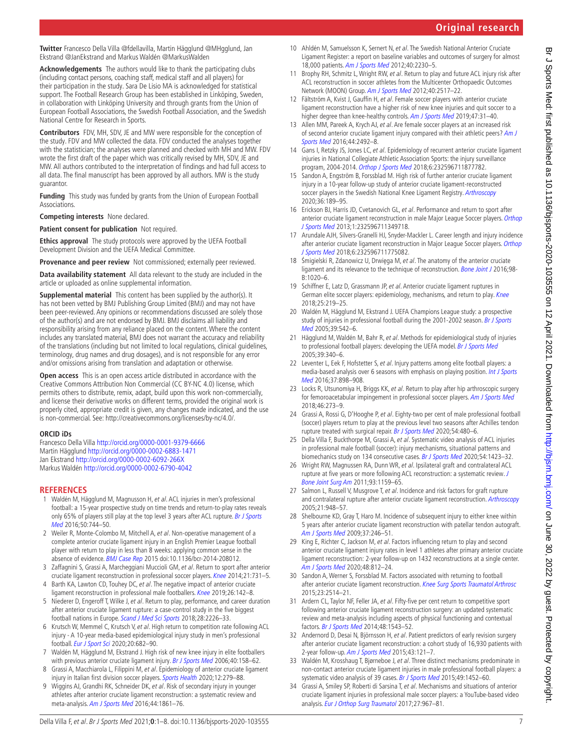**Twitter** Francesco Della Villa [@fdellavilla](https://twitter.com/fdellavilla), Martin Hägglund [@MHgglund](https://twitter.com/MHgglund), Jan Ekstrand [@JanEkstrand](https://twitter.com/JanEkstrand) and Markus Waldén [@MarkusWalden](https://twitter.com/MarkusWalden)

**Acknowledgements** The authors would like to thank the participating clubs (including contact persons, coaching staff, medical staff and all players) for their participation in the study. Sara De Lisio MA is acknowledged for statistical support. The Football Research Group has been established in Linköping, Sweden, in collaboration with Linköping University and through grants from the Union of European Football Associations, the Swedish Football Association, and the Swedish National Centre for Research in Sports.

**Contributors** FDV, MH, SDV, JE and MW were responsible for the conception of the study. FDV and MW collected the data. FDV conducted the analyses together with the statistician; the analyses were planned and checked with MH and MW. FDV wrote the first draft of the paper which was critically revised by MH, SDV, JE and MW. All authors contributed to the interpretation of findings and had full access to all data. The final manuscript has been approved by all authors. MW is the study guarantor.

**Funding** This study was funded by grants from the Union of European Football Associations.

**Competing interests** None declared.

**Patient consent for publication** Not required.

**Ethics approval** The study protocols were approved by the UEFA Football Development Division and the UEFA Medical Committee.

**Provenance and peer review** Not commissioned; externally peer reviewed.

**Data availability statement** All data relevant to the study are included in the article or uploaded as online supplemental information.

**Supplemental material** This content has been supplied by the author(s). It has not been vetted by BMJ Publishing Group Limited (BMJ) and may not have been peer-reviewed. Any opinions or recommendations discussed are solely those of the author(s) and are not endorsed by BMJ. BMJ disclaims all liability and responsibility arising from any reliance placed on the content. Where the content includes any translated material, BMJ does not warrant the accuracy and reliability of the translations (including but not limited to local regulations, clinical guidelines, terminology, drug names and drug dosages), and is not responsible for any error and/or omissions arising from translation and adaptation or otherwise.

**Open access** This is an open access article distributed in accordance with the Creative Commons Attribution Non Commercial (CC BY-NC 4.0) license, which permits others to distribute, remix, adapt, build upon this work non-commercially, and license their derivative works on different terms, provided the original work is properly cited, appropriate credit is given, any changes made indicated, and the use is non-commercial. See: <http://creativecommons.org/licenses/by-nc/4.0/>.

#### **ORCID iDs**

Francesco Della Villa <http://orcid.org/0000-0001-9379-6666> Martin Hägglund<http://orcid.org/0000-0002-6883-1471> Jan Ekstrand<http://orcid.org/0000-0002-6092-266X> Markus Waldén <http://orcid.org/0000-0002-6790-4042>

#### **REFERENCES**

- <span id="page-6-0"></span>1 Waldén M, Hägglund M, Magnusson H, et al. ACL injuries in men's professional football: a 15-year prospective study on time trends and return-to-play rates reveals only 65% of players still play at the top level 3 years after ACL rupture. Br J Sports [Med](http://dx.doi.org/10.1136/bjsports-2015-095952) 2016;50:744–50.
- <span id="page-6-1"></span>2 Weiler R, Monte-Colombo M, Mitchell A, et al. Non-operative management of a complete anterior cruciate ligament injury in an English Premier League football player with return to play in less than 8 weeks: applying common sense in the absence of evidence. [BMJ Case Rep](http://dx.doi.org/10.1136/bcr-2014-208012) 2015 doi:10.1136/bcr-2014-208012.
- 3 Zaffagnini S, Grassi A, Marcheggiani Muccioli GM, et al. Return to sport after anterior cruciate ligament reconstruction in professional soccer players. [Knee](http://dx.doi.org/10.1016/j.knee.2014.02.005) 2014;21:731-5.
- <span id="page-6-2"></span>Barth KA, Lawton CD, Touhey DC, et al. The negative impact of anterior cruciate ligament reconstruction in professional male footballers. [Knee](http://dx.doi.org/10.1016/j.knee.2018.10.004) 2019;26:142-8.
- <span id="page-6-18"></span>5 Niederer D, Engeroff T, Wilke J, et al. Return to play, performance, and career duration after anterior cruciate ligament rupture: a case-control study in the five biggest football nations in Europe. [Scand J Med Sci Sports](http://dx.doi.org/10.1111/sms.13245) 2018;28:2226–33.
- 6 Krutsch W, Memmel C, Krutsch V, et al. High return to competition rate following ACL injury - A 10-year media-based epidemiological injury study in men's professional football. [Eur J Sport Sci](http://dx.doi.org/10.1080/17461391.2019.1648557) 2020;20:682–90.
- 7 Waldén M, Hägglund M, Ekstrand J. High risk of new knee injury in elite footballers with previous anterior cruciate ligament injury. [Br J Sports Med](http://dx.doi.org/10.1136/bjsm.2005.021055) 2006;40:158-62.
- 8 Grassi A, Macchiarola L, Filippini M, et al. Epidemiology of anterior cruciate ligament injury in Italian first division soccer players. [Sports Health](http://dx.doi.org/10.1177/1941738119885642) 2020;12:279-88.
- <span id="page-6-3"></span>9 Wiggins AJ, Grandhi RK, Schneider DK, et al. Risk of secondary injury in younger athletes after anterior cruciate ligament reconstruction: a systematic review and meta-analysis. [Am J Sports Med](http://dx.doi.org/10.1177/0363546515621554) 2016;44:1861-76.
- <span id="page-6-4"></span>10 Ahldén M, Samuelsson K, Sernert N, et al. The Swedish National Anterior Cruciate Ligament Register: a report on baseline variables and outcomes of surgery for almost 18,000 patients. [Am J Sports Med](http://dx.doi.org/10.1177/0363546512457348) 2012;40:2230-5.
- 11 Brophy RH, Schmitz L, Wright RW, et al. Return to play and future ACL injury risk after ACL reconstruction in soccer athletes from the Multicenter Orthopaedic Outcomes Network (MOON) Group. [Am J Sports Med](http://dx.doi.org/10.1177/0363546512459476) 2012;40:2517–22.
- 12 Fältström A, Kvist J, Gauffin H, et al. Female soccer players with anterior cruciate ligament reconstruction have a higher risk of new knee injuries and quit soccer to a higher degree than knee-healthy controls. [Am J Sports Med](http://dx.doi.org/10.1177/0363546518808006) 2019;47:31-40.
- <span id="page-6-14"></span>13 Allen MM, Pareek A, Krych AJ, et al. Are female soccer players at an increased risk of second anterior cruciate ligament injury compared with their athletic peers? Am J [Sports Med](http://dx.doi.org/10.1177/0363546516648439) 2016;44:2492–8.
- 14 Gans I, Retzky JS, Jones LC, et al. Epidemiology of recurrent anterior cruciate ligament injuries in National Collegiate Athletic Association Sports: the injury surveillance program, 2004-2014. [Orthop J Sports Med](http://dx.doi.org/10.1177/2325967118777823) 2018;6:232596711877782.
- <span id="page-6-11"></span>15 Sandon A, Engström B, Forssblad M. High risk of further anterior cruciate ligament injury in a 10-year follow-up study of anterior cruciate ligament-reconstructed soccer players in the Swedish National Knee Ligament Registry. [Arthroscopy](http://dx.doi.org/10.1016/j.arthro.2019.05.052) 2020;36:189–95.
- <span id="page-6-17"></span>16 Erickson BJ, Harris JD, Cvetanovich GL, et al. Performance and return to sport after anterior cruciate ligament reconstruction in male Major League Soccer players. [Orthop](http://dx.doi.org/10.1177/2325967113497189)  [J Sports Med](http://dx.doi.org/10.1177/2325967113497189) 2013;1:232596711349718.
- 17 Arundale AJH, Silvers-Granelli HJ, Snyder-Mackler L. Career length and injury incidence after anterior cruciate ligament reconstruction in Major League Soccer players. Orthop [J Sports Med](http://dx.doi.org/10.1177/2325967117750825) 2018;6:232596711775082.
- <span id="page-6-13"></span>18 Śmigielski R, Zdanowicz U, Drwięga M, et al. The anatomy of the anterior cruciate ligament and its relevance to the technique of reconstruction. [Bone Joint J](http://dx.doi.org/10.1302/0301-620X.98B8.37117) 2016;98-B:1020–6.
- 19 Schiffner E, Latz D, Grassmann JP, et al. Anterior cruciate ligament ruptures in German elite soccer players: epidemiology, mechanisms, and return to play. [Knee](http://dx.doi.org/10.1016/j.knee.2018.01.010) 2018;25:219–25.
- <span id="page-6-5"></span>20 Waldén M, Hägglund M, Ekstrand J. UEFA Champions League study: a prospective study of injuries in professional football during the 2001-2002 season. Br J Sports [Med](http://dx.doi.org/10.1136/bjsm.2004.014571) 2005;39:542–6.
- <span id="page-6-6"></span>21 Hägglund M, Waldén M, Bahr R, et al. Methods for epidemiological study of injuries to professional football players: developing the UEFA model. [Br J Sports Med](http://dx.doi.org/10.1136/bjsm.2005.018267) 2005;39:340–6.
- <span id="page-6-7"></span>22 Leventer L, Eek F, Hofstetter S, et al. Injury patterns among elite football players: a media-based analysis over 6 seasons with emphasis on playing position. Int J Sports [Med](http://dx.doi.org/10.1055/s-0042-108201) 2016;37:898–908.
- <span id="page-6-8"></span>23 Locks R, Utsunomiya H, Briggs KK, et al. Return to play after hip arthroscopic surgery for femoroacetabular impingement in professional soccer players. [Am J Sports Med](http://dx.doi.org/10.1177/0363546517738741) 2018;46:273–9.
- 24 Grassi A, Rossi G, D'Hooghe P, et al. Eighty-two per cent of male professional football (soccer) players return to play at the previous level two seasons after Achilles tendon rupture treated with surgical repair. [Br J Sports Med](http://dx.doi.org/10.1136/bjsports-2019-100556) 2020;54:480-6.
- <span id="page-6-15"></span>25 Della Villa F, Buckthorpe M, Grassi A, et al. Systematic video analysis of ACL injuries in professional male football (soccer): injury mechanisms, situational patterns and biomechanics study on 134 consecutive cases. [Br J Sports Med](http://dx.doi.org/10.1136/bjsports-2019-101247) 2020;54:1423-32.
- <span id="page-6-9"></span>26 Wright RW, Magnussen RA, Dunn WR, et al. Ipsilateral graft and contralateral ACL rupture at five years or more following ACL reconstruction: a systematic review. [J](http://dx.doi.org/10.2106/JBJS.J.00898)  [Bone Joint Surg Am](http://dx.doi.org/10.2106/JBJS.J.00898) 2011;93:1159–65.
- <span id="page-6-10"></span>27 Salmon L, Russell V, Musgrove T, et al. Incidence and risk factors for graft rupture and contralateral rupture after anterior cruciate ligament reconstruction. [Arthroscopy](http://dx.doi.org/10.1016/j.arthro.2005.04.110) 2005;21:948–57.
- <span id="page-6-16"></span>28 Shelbourne KD, Gray T, Haro M. Incidence of subsequent injury to either knee within 5 years after anterior cruciate ligament reconstruction with patellar tendon autograft. [Am J Sports Med](http://dx.doi.org/10.1177/0363546508325665) 2009;37:246-51.
- 29 King E, Richter C, Jackson M, et al. Factors influencing return to play and second anterior cruciate ligament injury rates in level 1 athletes after primary anterior cruciate ligament reconstruction: 2-year follow-up on 1432 reconstructions at a single center. [Am J Sports Med](http://dx.doi.org/10.1177/0363546519900170) 2020;48:812–24.
- 30 Sandon A, Werner S, Forssblad M. Factors associated with returning to football after anterior cruciate ligament reconstruction. [Knee Surg Sports Traumatol Arthrosc](http://dx.doi.org/10.1007/s00167-014-3023-4) 2015;23:2514–21.
- <span id="page-6-12"></span>31 Ardern CL, Taylor NF, Feller JA, et al. Fifty-five per cent return to competitive sport following anterior cruciate ligament reconstruction surgery: an updated systematic review and meta-analysis including aspects of physical functioning and contextual factors. [Br J Sports Med](http://dx.doi.org/10.1136/bjsports-2013-093398) 2014;48:1543–52.
- 32 Andernord D, Desai N, Björnsson H, et al. Patient predictors of early revision surgery after anterior cruciate ligament reconstruction: a cohort study of 16,930 patients with 2-year follow-up. [Am J Sports Med](http://dx.doi.org/10.1177/0363546514552788) 2015;43:121-7.
- 33 Waldén M, Krosshaug T, Bjørneboe J, et al. Three distinct mechanisms predominate in non-contact anterior cruciate ligament injuries in male professional football players: a systematic video analysis of 39 cases. [Br J Sports Med](http://dx.doi.org/10.1136/bjsports-2014-094573) 2015;49:1452-60.
- 34 Grassi A, Smiley SP, Roberti di Sarsina T, et al. Mechanisms and situations of anterior cruciate ligament injuries in professional male soccer players: a YouTube-based video analysis. [Eur J Orthop Surg Traumatol](http://dx.doi.org/10.1007/s00590-017-1905-0) 2017;27:967-81.